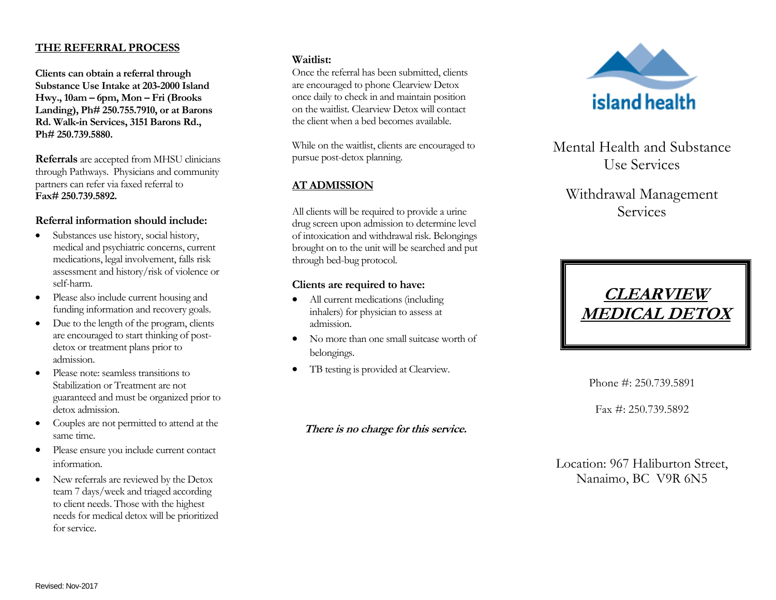### **THE REFERRAL PROCESS**

**Clients can obtain a referral through Substance Use Intake at 203-2000 Island Hwy., 10am – 6pm, Mon – Fri (Brooks Landing), Ph# 250.755.7910, or at Barons Rd. Walk-in Services, 3151 Barons Rd., Ph# 250.739.5880.**

**Referrals** are accepted from MHSU clinicians through Pathways. Physicians and community partners can refer via faxed referral to **Fax# 250.739.5892.**

### **Referral information should include:**

- Substances use history, social history, medical and psychiatric concerns, current medications, legal involvement, falls risk assessment and history/risk of violence or self-harm.
- Please also include current housing and funding information and recovery goals.
- Due to the length of the program, clients are encouraged to start thinking of postdetox or treatment plans prior to admission.
- Please note: seamless transitions to Stabilization or Treatment are not guaranteed and must be organized prior to detox admission.
- Couples are not permitted to attend at the same time.
- Please ensure you include current contact information.
- New referrals are reviewed by the Detox team 7 days/week and triaged according to client needs. Those with the highest needs for medical detox will be prioritized for service.

#### **Waitlist:**

Once the referral has been submitted, clients are encouraged to phone Clearview Detox once daily to check in and maintain position on the waitlist. Clearview Detox will contact the client when a bed becomes available.

While on the waitlist, clients are encouraged to pursue post-detox planning.

## **AT ADMISSION**

All clients will be required to provide a urine drug screen upon admission to determine level of intoxication and withdrawal risk. Belongings brought on to the unit will be searched and put through bed-bug protocol.

### **Clients are required to have:**

- All current medications (including inhalers) for physician to assess at admission.
- No more than one small suitcase worth of belongings.
- TB testing is provided at Clearview.

## **There is no charge for this service.**



Mental Health and Substance Use Services

# Withdrawal Management Services



Phone #: 250.739.5891

Fax #: 250.739.5892

Location: 967 Haliburton Street, Nanaimo, BC V9R 6N5